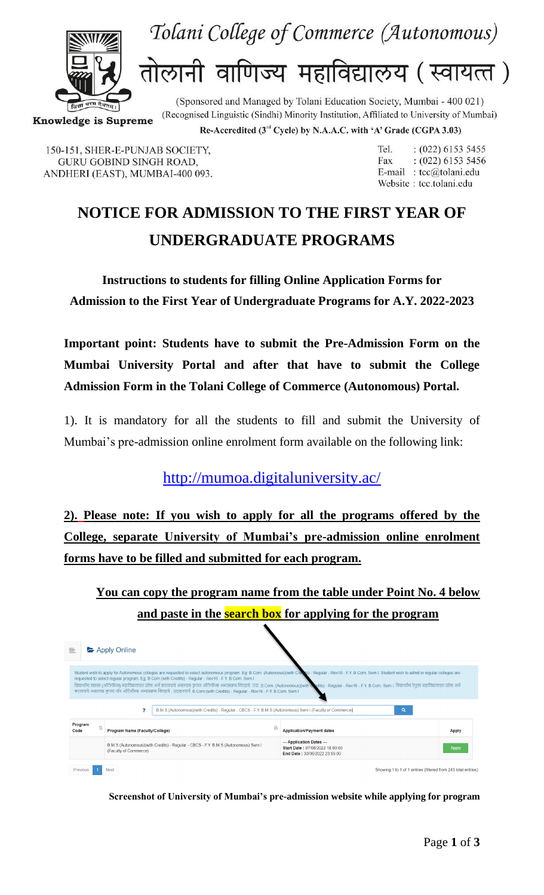



तोलानी वाणिज्य महाविद्यालय (स्वायत्त)

(Recognised Linguistic (Sindhi) Minority Institution, Affiliated to University of Mumbai) **Knowledge is Supreme** 

Re-Accredited (3rd Cycle) by N.A.A.C. with 'A' Grade (CGPA 3.03)

(Sponsored and Managed by Tolani Education Society, Mumbai - 400 021)

150-151, SHER-E-PUNJAB SOCIETY, **GURU GOBIND SINGH ROAD,** ANDHERI (EAST), MUMBAI-400 093. Tel.  $: (022) 6153 5455$  $: (022) 6153 5456$ Fax E-mail: tcc@tolani.edu Website: tcc.tolani.edu

## **NOTICE FOR ADMISSION TO THE FIRST YEAR OF UNDERGRADUATE PROGRAMS**

**Instructions to students for filling Online Application Forms for Admission to the First Year of Undergraduate Programs for A.Y. 2022-2023**

**Important point: Students have to submit the Pre-Admission Form on the Mumbai University Portal and after that have to submit the College Admission Form in the Tolani College of Commerce (Autonomous) Portal.**

1). It is mandatory for all the students to fill and submit the University of Mumbai's pre-admission online enrolment form available on the following link:

<http://mumoa.digitaluniversity.ac/>

**2). Please note: If you wish to apply for all the programs offered by the College, separate University of Mumbai's pre-admission online enrolment forms have to be filled and submitted for each program.**

**You can copy the program name from the table under Point No. 4 below and paste in the search box for applying for the program**

| 亖                                                                                                                                                                                                                                                                                                                                                                                                                                                                                                                                                                                                                                                                                             | Apply Online                   |                                                                                   |  |                                                                                               |              |  |
|-----------------------------------------------------------------------------------------------------------------------------------------------------------------------------------------------------------------------------------------------------------------------------------------------------------------------------------------------------------------------------------------------------------------------------------------------------------------------------------------------------------------------------------------------------------------------------------------------------------------------------------------------------------------------------------------------|--------------------------------|-----------------------------------------------------------------------------------|--|-----------------------------------------------------------------------------------------------|--------------|--|
| Student wish to apply for Autonomous colleges are requested to select autonomous program. Eg: B.Com. (Autonoous)(with Creek's) - Regular - Rev16 - F.Y. B.Com. Sem I. Student wish to admit in regular colleges are<br>requested to select regular program. Eg: B.Com.(with Credits) - Regular - Rev16 - F.Y. B.Com. Sem I<br>विद्यार्थ्याना स्वासन (ऑटोनॉमस) महाविद्यालयात प्रवेश अर्ज करावयाचे असल्यास कृपया ऑटोनॉमस अथासक्रम निवडावे. उदा: B.Com. (Autonomous)(with Wolts) - Regular - Rev16 - F.Y. B.Com. Sem I. विद्यार्थांना रेगुलर महाविद्यालयात प्र<br>करावयाचे असल्यास कृपया नॉन ऑटोनॉमस अभ्यासक्रम निवडावे . उदाहरणार्थ: B.Com.(with Credits) - Regular - Rev16 - F.Y. B.Com. Sem I |                                |                                                                                   |  |                                                                                               |              |  |
| P<br>B.M.S.(Autonomous)(with Credits) - Regular - CBCS - F.Y. B.M.S.(Autonomous) Sem I (Faculty of Commerce)<br>Q                                                                                                                                                                                                                                                                                                                                                                                                                                                                                                                                                                             |                                |                                                                                   |  |                                                                                               |              |  |
| Program<br>11<br>Code                                                                                                                                                                                                                                                                                                                                                                                                                                                                                                                                                                                                                                                                         | Program Name (Faculty/College) |                                                                                   |  | <b>Application/Payment dates</b>                                                              | <b>Apply</b> |  |
|                                                                                                                                                                                                                                                                                                                                                                                                                                                                                                                                                                                                                                                                                               | (Faculty of Commerce)          | B.M.S.(Autonomous)(with Credits) - Regular - CBCS - F.Y. B.M.S.(Autonomous) Sem I |  | --- Application Dates ---<br>Start Date: 07/06/2022 18:00:00<br>End Date: 30/06/2022 23:55:00 | <b>Apply</b> |  |
| Previous                                                                                                                                                                                                                                                                                                                                                                                                                                                                                                                                                                                                                                                                                      | <b>Next</b>                    |                                                                                   |  | Showing 1 to 1 of 1 entries (filtered from 243 total entries)                                 |              |  |

**Screenshot of University of Mumbai's pre-admission website while applying for program**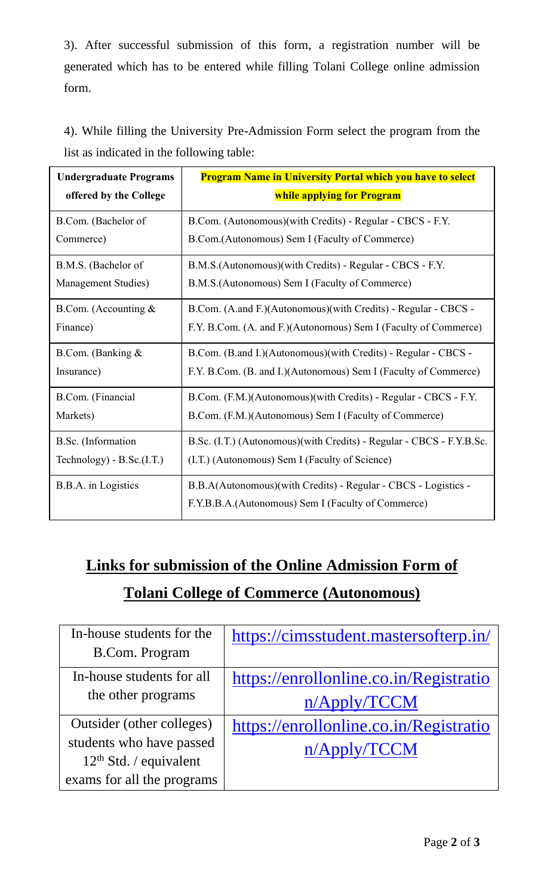3). After successful submission of this form, a registration number will be generated which has to be entered while filling Tolani College online admission form.

| 4). While filling the University Pre-Admission Form select the program from the |  |  |  |  |
|---------------------------------------------------------------------------------|--|--|--|--|
| list as indicated in the following table:                                       |  |  |  |  |

| <b>Undergraduate Programs</b> | <b>Program Name in University Portal which you have to select</b>                                                    |  |  |  |
|-------------------------------|----------------------------------------------------------------------------------------------------------------------|--|--|--|
| offered by the College        | while applying for Program                                                                                           |  |  |  |
| B.Com. (Bachelor of           | B.Com. (Autonomous)(with Credits) - Regular - CBCS - F.Y.                                                            |  |  |  |
| Commerce)                     | B.Com.(Autonomous) Sem I (Faculty of Commerce)                                                                       |  |  |  |
| B.M.S. (Bachelor of           | B.M.S.(Autonomous)(with Credits) - Regular - CBCS - F.Y.                                                             |  |  |  |
| Management Studies)           | B.M.S. (Autonomous) Sem I (Faculty of Commerce)                                                                      |  |  |  |
| B.Com. (Accounting $&$        | B.Com. (A.and F.)(Autonomous)(with Credits) - Regular - CBCS -                                                       |  |  |  |
| Finance)                      | F.Y. B.Com. (A. and F.)(Autonomous) Sem I (Faculty of Commerce)                                                      |  |  |  |
| B.Com. (Banking $&$           | B.Com. (B.and I.)(Autonomous)(with Credits) - Regular - CBCS -                                                       |  |  |  |
| Insurance)                    | F.Y. B.Com. (B. and I.)(Autonomous) Sem I (Faculty of Commerce)                                                      |  |  |  |
| B.Com. (Financial             | B.Com. (F.M.)(Autonomous)(with Credits) - Regular - CBCS - F.Y.                                                      |  |  |  |
| Markets)                      | B.Com. (F.M.)(Autonomous) Sem I (Faculty of Commerce)                                                                |  |  |  |
| B.Sc. (Information            | B.Sc. (I.T.) (Autonomous) (with Credits) - Regular - CBCS - F.Y.B.Sc.                                                |  |  |  |
| Technology) - B.Sc.(I.T.)     | (I.T.) (Autonomous) Sem I (Faculty of Science)                                                                       |  |  |  |
| B.B.A. in Logistics           | B.B.A(Autonomous)(with Credits) - Regular - CBCS - Logistics -<br>F.Y.B.B.A.(Autonomous) Sem I (Faculty of Commerce) |  |  |  |

## **Links for submission of the Online Admission Form of Tolani College of Commerce (Autonomous)**

| In-house students for the  | https://cimsstudent.mastersofterp.in/  |
|----------------------------|----------------------------------------|
| <b>B.Com. Program</b>      |                                        |
| In-house students for all  | https://enrollonline.co.in/Registratio |
| the other programs         | n/Apply/TCCM                           |
| Outsider (other colleges)  | https://enrollonline.co.in/Registratio |
| students who have passed   | n/Apply/TCCM                           |
| $12th$ Std. / equivalent   |                                        |
| exams for all the programs |                                        |